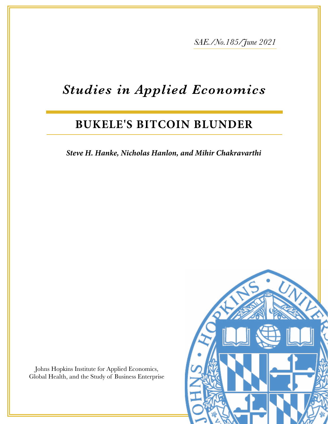*SAE./No.185/June* 2021

# *Studies in Applied Economics*

# **BUKELE'S BITCOIN BLUNDER**

Steve H. Hanke, Nicholas Hanlon, and Mihir Chakravarthi

Johns Hopkins Institute for Applied Economics, Global Health, and the Study of Business Enterprise

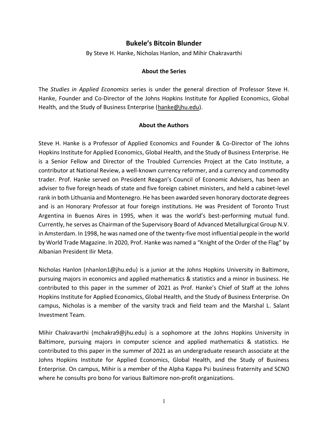# **Bukele's Bitcoin Blunder**

By Steve H. Hanke, Nicholas Hanlon, and Mihir Chakravarthi

#### **About the Series**

The *Studies in Applied Economics* series is under the general direction of Professor Steve H. Hanke, Founder and Co-Director of the Johns Hopkins Institute for Applied Economics, Global Health, and the Study of Business Enterprise [\(hanke@jhu.edu\)](mailto:hanke@jhu.edu).

#### **About the Authors**

Steve H. Hanke is a Professor of Applied Economics and Founder & Co-Director of The Johns Hopkins Institute for Applied Economics, Global Health, and the Study of Business Enterprise. He is a Senior Fellow and Director of the Troubled Currencies Project at the Cato Institute, a contributor at National Review, a well-known currency reformer, and a currency and commodity trader. Prof. Hanke served on President Reagan's Council of Economic Advisers, has been an adviser to five foreign heads of state and five foreign cabinet ministers, and held a cabinet-level rank in both Lithuania and Montenegro. He has been awarded seven honorary doctorate degrees and is an Honorary Professor at four foreign institutions. He was President of Toronto Trust Argentina in Buenos Aires in 1995, when it was the world's best-performing mutual fund. Currently, he serves as Chairman of the Supervisory Board of Advanced Metallurgical Group N.V. in Amsterdam. In 1998, he was named one of the twenty-five most influential people in the world by World Trade Magazine. In 2020, Prof. Hanke was named a "Knight of the Order of the Flag" by Albanian President Ilir Meta.

Nicholas Hanlon [\(nhanlon1@jhu.edu\)](mailto:nhanlon1@jhu.edu) is a junior at the Johns Hopkins University in Baltimore, pursuing majors in economics and applied mathematics & statistics and a minor in business. He contributed to this paper in the summer of 2021 as Prof. Hanke's Chief of Staff at the Johns Hopkins Institute for Applied Economics, Global Health, and the Study of Business Enterprise. On campus, Nicholas is a member of the varsity track and field team and the Marshal L. Salant Investment Team.

Mihir Chakravarthi [\(mchakra9@jhu.edu\)](mailto:mchakra9@jhu.edu) is a sophomore at the Johns Hopkins University in Baltimore, pursuing majors in computer science and applied mathematics & statistics. He contributed to this paper in the summer of 2021 as an undergraduate research associate at the Johns Hopkins Institute for Applied Economics, Global Health, and the Study of Business Enterprise. On campus, Mihir is a member of the Alpha Kappa Psi business fraternity and SCNO where he consults pro bono for various Baltimore non-profit organizations.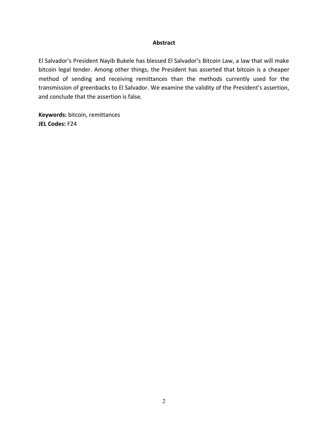#### **Abstract**

El Salvador's President Nayib Bukele has blessed El Salvador's Bitcoin Law, a law that will make bitcoin legal tender. Among other things, the President has asserted that bitcoin is a cheaper method of sending and receiving remittances than the methods currently used for the transmission of greenbacks to El Salvador. We examine the validity of the President's assertion, and conclude that the assertion is false.

**Keywords:** bitcoin, remittances **JEL Codes:** F24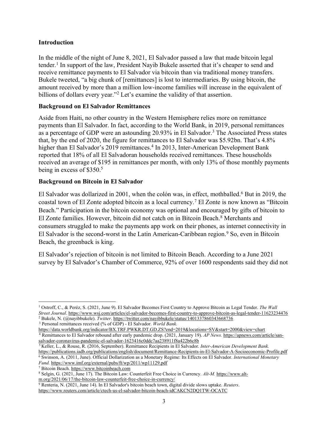## **Introduction**

In the middle of the night of June 8, 2021, El Salvador passed a law that made bitcoin legal tender.<sup>1</sup> In support of the law, President Nayib Bukele asserted that it's cheaper to send and receive remittance payments to El Salvador via bitcoin than via traditional money transfers. Bukele tweeted, "a big chunk of [remittances] is lost to intermediaries. By using bitcoin, the amount received by more than a million low-income families will increase in the equivalent of billions of dollars every year."<sup>2</sup> Let's examine the validity of that assertion.

## **Background on El Salvador Remittances**

Aside from Haiti, no other country in the Western Hemisphere relies more on remittance payments than El Salvador. In fact, according to the World Bank, in 2019, personal remittances as a percentage of GDP were an astounding 20.93% in El Salvador. <sup>3</sup> The Associated Press states that, by the end of 2020, the figure for remittances to El Salvador was \$5.92bn. That's  $4.8\%$ higher than El Salvador's 2019 remittances.<sup>4</sup> In 2013, Inter-American Development Bank reported that 18% of all El Salvadoran households received remittances. These households received an average of \$195 in remittances per month, with only 13% of those monthly payments being in excess of \$350. 5

# **Background on Bitcoin in El Salvador**

El Salvador was dollarized in 2001, when the colón was, in effect, mothballed. <sup>6</sup> But in 2019, the coastal town of El Zonte adopted bitcoin as a local currency.<sup>7</sup> El Zonte is now known as "Bitcoin" Beach.<sup>"</sup> Participation in the bitcoin economy was optional and encouraged by gifts of bitcoin to El Zonte families. However, bitcoin did not catch on in Bitcoin Beach.8 Merchants and consumers struggled to make the payments app work on their phones, as internet connectivity in El Salvador is the second-worst in the Latin American-Caribbean region.<sup>9</sup> So, even in Bitcoin Beach, the greenback is king.

El Salvador's rejection of bitcoin is not limited to Bitcoin Beach. According to a June 2021 survey by El Salvador's Chamber of Commerce, 92% of over 1600 respondents said they did not

<sup>3</sup> Personal remittances received (% of GDP) - El Salvador. *World Bank.*

<https://data.worldbank.org/indicator/BX.TRF.PWKR.DT.GD.ZS?end=2019&locations=SV&start=2000&view=chart> <sup>4</sup> Remittances to El Salvador rebound after early pandemic drop. (2021, January 19). *AP News.* [https://apnews.com/article/san](https://apnews.com/article/san-salvador-coronavirus-pandemic-el-salvador-1623416c0ddc7aa238911f8a422b6c8b)[salvador-coronavirus-pandemic-el-salvador-1623416c0ddc7aa238911f8a422b6c8b](https://apnews.com/article/san-salvador-coronavirus-pandemic-el-salvador-1623416c0ddc7aa238911f8a422b6c8b)

*Fund.* <https://www.imf.org/external/pubs/ft/wp/2011/wp11129.pdf>

<sup>7</sup> Bitcoin Beach. [https://www.bitcoinbeach.com](https://www.bitcoinbeach.com/)

<sup>1</sup> Ostroff, C., & Peréz, S. (2021, June 9). El Salvador Becomes First Country to Approve Bitcoin as Legal Tender. *The Wall Street Journal*[. https://www.wsj.com/articles/el-salvador-becomes-first-country-to-approve-bitcoin-as-legal-tender-11623234476](https://www.wsj.com/articles/el-salvador-becomes-first-country-to-approve-bitcoin-as-legal-tender-11623234476) <sup>2</sup> Bukele, N. (@nayibbukele). *Twitter*[. https://twitter.com/nayibbukele/status/1401337860343668736](https://twitter.com/nayibbukele/status/1401337860343668736)

<sup>5</sup> Keller, L., & Rouse, R. (2016, September). Remittance Recipients in El Salvador. *Inter-American Development Bank.* <https://publications.iadb.org/publications/english/document/Remittance-Recipients-in-El-Salvador-A-Socioeconomic-Profile.pdf> <sup>6</sup> Swinson, A. (2011, June). Official Dollarization as a Monetary Regime: Its Effects on El Salvador. *International Monetary* 

<sup>8</sup> Selgin, G. (2021, June 17). The Bitcoin Law: Counterfeit Free Choice in Currency. *Alt-M.* [https://www.alt](https://www.alt-m.org/2021/06/17/the-bitcoin-law-counterfeit-free-choice-in-currency/)[m.org/2021/06/17/the-bitcoin-law-counterfeit-free-choice-in-currency/](https://www.alt-m.org/2021/06/17/the-bitcoin-law-counterfeit-free-choice-in-currency/)

<sup>9</sup> Renteria, N. (2021, June 14). In El Salvador's bitcoin beach town, digital divide slows uptake. *Reuters*. <https://www.reuters.com/article/ctech-us-el-salvador-bitcoin-beach-idCAKCN2DQ1TW-OCATC>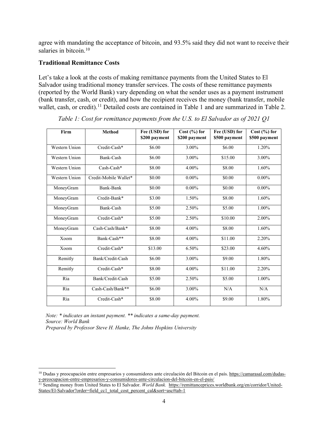agree with mandating the acceptance of bitcoin, and 93.5% said they did not want to receive their salaries in bitcoin.<sup>10</sup>

#### **Traditional Remittance Costs**

Let's take a look at the costs of making remittance payments from the United States to El Salvador using traditional money transfer services. The costs of these remittance payments (reported by the World Bank) vary depending on what the sender uses as a payment instrument (bank transfer, cash, or credit), and how the recipient receives the money (bank transfer, mobile wallet, cash, or credit).<sup>11</sup> Detailed costs are contained in Table 1 and are summarized in Table 2.

| Firm                 | <b>Method</b>         | Fee (USD) for<br>\$200 payment | Cost(%) for<br>\$200 payment | Fee (USD) for<br>\$500 payment | $\overline{\text{Cost }(\%)}$ for<br>\$500 payment |
|----------------------|-----------------------|--------------------------------|------------------------------|--------------------------------|----------------------------------------------------|
|                      |                       |                                |                              |                                |                                                    |
| Western Union        | Credit-Cash*          | \$6.00                         | 3.00%                        | \$6.00                         | 1.20%                                              |
| Western Union        | Bank-Cash             | \$6.00                         | 3.00%                        | \$15.00                        | 3.00%                                              |
| Western Union        | $Cash-Cash*$          | \$8.00                         | 4.00%                        | \$8.00                         | 1.60%                                              |
| <b>Western Union</b> | Credit-Mobile Wallet* | \$0.00                         | $0.00\%$                     | \$0.00                         | $0.00\%$                                           |
| MoneyGram            | Bank-Bank             | \$0.00                         | $0.00\%$                     | \$0.00                         | $0.00\%$                                           |
| MoneyGram            | Credit-Bank*          | \$3.00                         | 1.50%                        | \$8.00                         | 1.60%                                              |
| MoneyGram            | Bank-Cash             | \$5.00                         | 2.50%                        | \$5.00                         | 1.00%                                              |
| MoneyGram            | Credit-Cash*          | \$5.00                         | 2.50%                        | \$10.00                        | 2.00%                                              |
| MoneyGram            | $Cash-Cash/Bank*$     | \$8.00                         | 4.00%                        | \$8.00                         | 1.60%                                              |
| Xoom                 | Bank-Cash**           | \$8.00                         | 4.00%                        | \$11.00                        | 2.20%                                              |
| Xoom                 | Credit-Cash*          | \$13.00                        | 6.50%                        | \$23.00                        | 4.60%                                              |
| Remitly              | Bank/Credit-Cash      | \$6.00                         | 3.00%                        | \$9.00                         | 1.80%                                              |
| Remitly              | Credit-Cash*          | \$8.00                         | 4.00%                        | \$11.00                        | 2.20%                                              |
| Ria                  | Bank/Credit-Cash      | \$5.00                         | 2.50%                        | \$5.00                         | 1.00%                                              |
| Ria                  | Cash-Cash/Bank**      | \$6.00                         | 3.00%                        | N/A                            | N/A                                                |
| Ria                  | Credit-Cash*          | \$8.00                         | 4.00%                        | \$9.00                         | 1.80%                                              |

*Table 1: Cost for remittance payments from the U.S. to El Salvador as of 2021 Q1*

*Note: \* indicates an instant payment. \*\* indicates a same-day payment. Source: World Bank*

*Prepared by Professor Steve H. Hanke, The Johns Hopkins University*

<sup>&</sup>lt;sup>10</sup> Dudas y preocupación entre empresarios y consumidores ante circulación del Bitcoin en el país. [https://camarasal.com/dudas](https://camarasal.com/dudas-y-preocupacion-entre-empresarios-y-consumidores-ante-circulacion-del-bitcoin-en-el-pais/)[y-preocupacion-entre-empresarios-y-consumidores-ante-circulacion-del-bitcoin-en-el-pais/](https://camarasal.com/dudas-y-preocupacion-entre-empresarios-y-consumidores-ante-circulacion-del-bitcoin-en-el-pais/)

<sup>&</sup>lt;sup>11</sup> Sending money from United States to El Salvador. *World Bank.* [https://remittanceprices.worldbank.org/en/corridor/United-](https://remittanceprices.worldbank.org/en/corridor/United-States/El-Salvador)[States/El-Salvador?order=field\\_cc1\\_total\\_cost\\_percent\\_cal&sort=asc#tab-1](https://remittanceprices.worldbank.org/en/corridor/United-States/El-Salvador)\_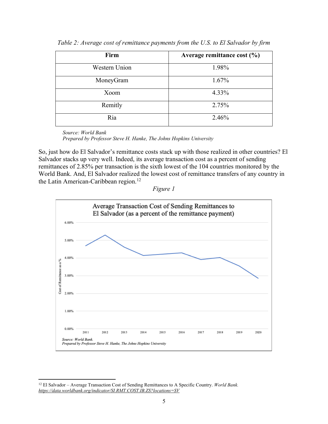| Firm          | Average remittance cost $(\% )$ |
|---------------|---------------------------------|
| Western Union | 1.98%                           |
| MoneyGram     | $1.67\%$                        |
| Xoom          | 4.33%                           |
| Remitly       | 2.75%                           |
| Ria           | 2.46%                           |

*Table 2: Average cost of remittance payments from the U.S. to El Salvador by firm*

*Source: World Bank Prepared by Professor Steve H. Hanke, The Johns Hopkins University*

So, just how do El Salvador's remittance costs stack up with those realized in other countries? El Salvador stacks up very well. Indeed, its average transaction cost as a percent of sending remittances of 2.85% per transaction is the sixth lowest of the 104 countries monitored by the World Bank. And, El Salvador realized the lowest cost of remittance transfers of any country in the Latin American-Caribbean region. 12





<sup>&</sup>lt;sup>12</sup> El Salvador – Average Transaction Cost of Sending Remittances to A Specific Country. *World Bank. <https://data.worldbank.org/indicator/SI.RMT.COST.IB.ZS?locations=SV>*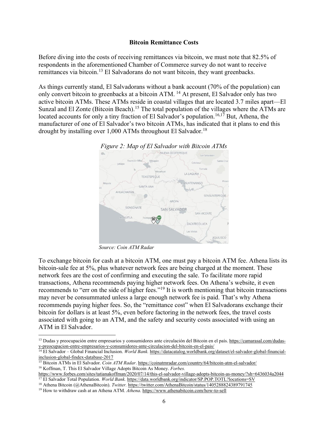#### **Bitcoin Remittance Costs**

Before diving into the costs of receiving remittances via bitcoin, we must note that 82.5% of respondents in the aforementioned Chamber of Commerce survey do not want to receive remittances via bitcoin.13 El Salvadorans do not want bitcoin, they want greenbacks.

As things currently stand, El Salvadorans without a bank account (70% of the population) can only convert bitcoin to greenbacks at a bitcoin ATM. <sup>14</sup> At present, El Salvador only has two active bitcoin ATMs. These ATMs reside in coastal villages that are located 3.7 miles apart—El Sunzal and El Zonte (Bitcoin Beach).<sup>15</sup> The total population of the villages where the ATMs are located accounts for only a tiny fraction of El Salvador's population.<sup>16,17</sup> But, Athena, the manufacturer of one of El Salvador's two bitcoin ATMs, has indicated that it plans to end this drought by installing over  $1,000$  ATMs throughout El Salvador.<sup>18</sup>



*Source: Coin ATM Radar*

To exchange bitcoin for cash at a bitcoin ATM, one must pay a bitcoin ATM fee. Athena lists its bitcoin-sale fee at 5%, plus whatever network fees are being charged at the moment. These network fees are the cost of confirming and executing the sale. To facilitate more rapid transactions, Athena recommends paying higher network fees. On Athena's website, it even recommends to "err on the side of higher fees."<sup>19</sup> It is worth mentioning that bitcoin transactions may never be consummated unless a large enough network fee is paid. That's why Athena recommends paying higher fees. So, the "remittance cost" when El Salvadorans exchange their bitcoin for dollars is at least 5%, even before factoring in the network fees, the travel costs associated with going to an ATM, and the safety and security costs associated with using an ATM in El Salvador.

<sup>13</sup> Dudas y preocupación entre empresarios y consumidores ante circulación del Bitcoin en el país. [https://camarasal.com/dudas](https://camarasal.com/dudas-y-preocupacion-entre-empresarios-y-consumidores-ante-circulacion-del-bitcoin-en-el-pais/)[y-preocupacion-entre-empresarios-y-consumidores-ante-circulacion-del-bitcoin-en-el-pais/](https://camarasal.com/dudas-y-preocupacion-entre-empresarios-y-consumidores-ante-circulacion-del-bitcoin-en-el-pais/)

<sup>14</sup> El Salvador – Global Financial Inclusion. *World Bank.* [https://datacatalog.worldbank.org/dataset/el-salvador-global-financial](https://datacatalog.worldbank.org/dataset/el-salvador-global-financial-inclusion-global-findex-database-2017)[inclusion-global-findex-database-2017](https://datacatalog.worldbank.org/dataset/el-salvador-global-financial-inclusion-global-findex-database-2017)

<sup>&</sup>lt;sup>15</sup> Bitcoin ATMs in El Salvador. *Coin ATM Radar*.<https://coinatmradar.com/country/64/bitcoin-atm-el-salvador/> <sup>16</sup> Koffman, T. This El Salvador Village Adopts Bitcoin As Money. *Forbes.* 

<https://www.forbes.com/sites/tatianakoffman/2020/07/14/this-el-salvador-village-adopts-bitcoin-as-money/?sh=6436034a2044>

<sup>17</sup> El Salvador Total Population. *World Bank.* <https://data.worldbank.org/indicator/SP.POP.TOTL?locations=SV> <sup>18</sup> Athena Bitcoin (@AthenaBitcoin). *Twitter.* <https://twitter.com/AthenaBitcoin/status/1405288824389791745>

<sup>19</sup> How to withdraw cash at an Athena ATM. *Athena*.<https://www.athenabitcoin.com/how-to-sell>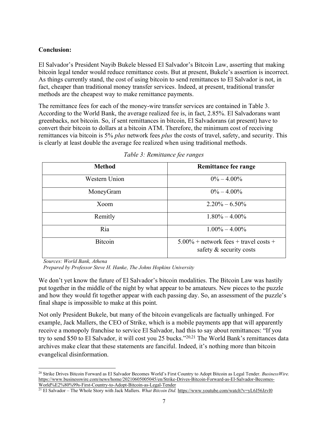# **Conclusion:**

El Salvador's President Nayib Bukele blessed El Salvador's Bitcoin Law, asserting that making bitcoin legal tender would reduce remittance costs. But at present, Bukele's assertion is incorrect. As things currently stand, the cost of using bitcoin to send remittances to El Salvador is not, in fact, cheaper than traditional money transfer services. Indeed, at present, traditional transfer methods are the cheapest way to make remittance payments.

The remittance fees for each of the money-wire transfer services are contained in Table 3. According to the World Bank, the average realized fee is, in fact, 2.85%. El Salvadorans want greenbacks, not bitcoin. So, if sent remittances in bitcoin, El Salvadorans (at present) have to convert their bitcoin to dollars at a bitcoin ATM. Therefore, the minimum cost of receiving remittances via bitcoin is 5% *plus* network fees *plus* the costs of travel, safety, and security. This is clearly at least double the average fee realized when using traditional methods.

| <b>Method</b>  | <b>Remittance fee range</b>                                            |  |  |
|----------------|------------------------------------------------------------------------|--|--|
| Western Union  | $0\% - 4.00\%$                                                         |  |  |
| MoneyGram      | $0\% - 4.00\%$                                                         |  |  |
| Xoom           | $2.20\% - 6.50\%$                                                      |  |  |
| Remitly        | $1.80\% - 4.00\%$                                                      |  |  |
| Ria            | $1.00\% - 4.00\%$                                                      |  |  |
| <b>Bitcoin</b> | $5.00\%$ + network fees + travel costs +<br>safety $\&$ security costs |  |  |

*Table 3: Remittance fee ranges*

*Sources: World Bank, Athena*

*Prepared by Professor Steve H. Hanke, The Johns Hopkins University*

We don't yet know the future of El Salvador's bitcoin modalities. The Bitcoin Law was hastily put together in the middle of the night by what appear to be amateurs. New pieces to the puzzle and how they would fit together appear with each passing day. So, an assessment of the puzzle's final shape is impossible to make at this point.

Not only President Bukele, but many of the bitcoin evangelicals are factually unhinged. For example, Jack Mallers, the CEO of Strike, which is a mobile payments app that will apparently receive a monopoly franchise to service El Salvador, had this to say about remittances: "If you try to send \$50 to El Salvador, it will cost you 25 bucks.<sup> $20,21$ </sup> The World Bank's remittances data archives make clear that these statements are fanciful. Indeed, it's nothing more than bitcoin evangelical disinformation.

<sup>&</sup>lt;sup>20</sup> Strike Drives Bitcoin Forward as El Salvador Becomes World's First Country to Adopt Bitcoin as Legal Tender. *BusinessWire.* [https://www.businesswire.com/news/home/20210605005045/en/Strike-Drives-Bitcoin-Forward-as-El-Salvador-Becomes-](https://www.businesswire.com/news/home/20210605005045/en/Strike-Drives-Bitcoin-Forward-as-El-Salvador-Becomes-World%E2%80%99s-First-Country-to-Adopt-Bitcoin-as-Legal-Tender)[World%E2%80%99s-First-Country-to-Adopt-Bitcoin-as-Legal-Tender](https://www.businesswire.com/news/home/20210605005045/en/Strike-Drives-Bitcoin-Forward-as-El-Salvador-Becomes-World%E2%80%99s-First-Country-to-Adopt-Bitcoin-as-Legal-Tender)

<sup>&</sup>lt;sup>21</sup> El Salvador – The Whole Story with Jack Mallers. *What Bitcoin Did.* <https://www.youtube.com/watch?v=yL6J56Jzvl0>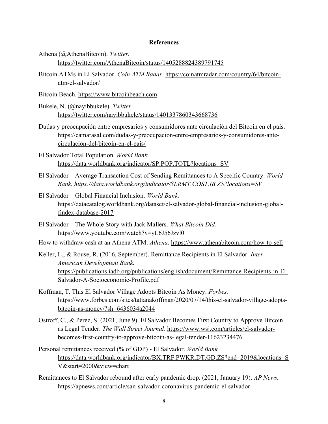#### **References**

- Athena (@AthenaBitcoin). *Twitter.* <https://twitter.com/AthenaBitcoin/status/1405288824389791745>
- Bitcoin ATMs in El Salvador. *Coin ATM Radar*. [https://coinatmradar.com/country/64/bitcoin](https://coinatmradar.com/country/64/bitcoin-atm-el-salvador/)[atm-el-salvador/](https://coinatmradar.com/country/64/bitcoin-atm-el-salvador/)
- Bitcoin Beach. [https://www.bitcoinbeach.com](https://www.bitcoinbeach.com/)
- Bukele, N. (@nayibbukele). *Twitter*. <https://twitter.com/nayibbukele/status/1401337860343668736>
- Dudas y preocupación entre empresarios y consumidores ante circulación del Bitcoin en el país. [https://camarasal.com/dudas-y-preocupacion-entre-empresarios-y-consumidores-ante](https://camarasal.com/dudas-y-preocupacion-entre-empresarios-y-consumidores-ante-circulacion-del-bitcoin-en-el-pais/)[circulacion-del-bitcoin-en-el-pais/](https://camarasal.com/dudas-y-preocupacion-entre-empresarios-y-consumidores-ante-circulacion-del-bitcoin-en-el-pais/)
- El Salvador Total Population. *World Bank.* <https://data.worldbank.org/indicator/SP.POP.TOTL?locations=SV>
- El Salvador Average Transaction Cost of Sending Remittances to A Specific Country. *World Bank.<https://data.worldbank.org/indicator/SI.RMT.COST.IB.ZS?locations=SV>*
- El Salvador ± Global Financial Inclusion. *World Bank.*  [https://datacatalog.worldbank.org/dataset/el-salvador-global-financial-inclusion-global](https://datacatalog.worldbank.org/dataset/el-salvador-global-financial-inclusion-global-findex-database-2017)[findex-database-2017](https://datacatalog.worldbank.org/dataset/el-salvador-global-financial-inclusion-global-findex-database-2017)
- El Salvador The Whole Story with Jack Mallers. *What Bitcoin Did.* <https://www.youtube.com/watch?v=yL6J56Jzvl0>
- How to withdraw cash at an Athena ATM. *Athena*.<https://www.athenabitcoin.com/how-to-sell>
- Keller, L., & Rouse, R. (2016, September). Remittance Recipients in El Salvador. *Inter-American Development Bank.* [https://publications.iadb.org/publications/english/document/Remittance-Recipients-in-El-](https://publications.iadb.org/publications/english/document/Remittance-Recipients-in-El-Salvador-A-Socioeconomic-Profile.pdf)[Salvador-A-Socioeconomic-Profile.pdf](https://publications.iadb.org/publications/english/document/Remittance-Recipients-in-El-Salvador-A-Socioeconomic-Profile.pdf)
- Koffman, T. This El Salvador Village Adopts Bitcoin As Money. *Forbes.*  [https://www.forbes.com/sites/tatianakoffman/2020/07/14/this-el-salvador-village-adopts](https://www.forbes.com/sites/tatianakoffman/2020/07/14/this-el-salvador-village-adopts-bitcoin-as-money/?sh=6436034a2044)[bitcoin-as-money/?sh=6436034a2044](https://www.forbes.com/sites/tatianakoffman/2020/07/14/this-el-salvador-village-adopts-bitcoin-as-money/?sh=6436034a2044)
- Ostroff, C., & Peréz, S. (2021, June 9). El Salvador Becomes First Country to Approve Bitcoin as Legal Tender. *The Wall Street Journal*. [https://www.wsj.com/articles/el-salvador](https://www.wsj.com/articles/el-salvador-becomes-first-country-to-approve-bitcoin-as-legal-tender-11623234476)[becomes-first-country-to-approve-bitcoin-as-legal-tender-11623234476](https://www.wsj.com/articles/el-salvador-becomes-first-country-to-approve-bitcoin-as-legal-tender-11623234476)
- Personal remittances received (% of GDP) El Salvador. *World Bank.* [https://data.worldbank.org/indicator/BX.TRF.PWKR.DT.GD.ZS?end=2019&locations=S](https://data.worldbank.org/indicator/BX.TRF.PWKR.DT.GD.ZS?end=2019&locations=SV&start=2000&view=chart) [V&start=2000&view=chart](https://data.worldbank.org/indicator/BX.TRF.PWKR.DT.GD.ZS?end=2019&locations=SV&start=2000&view=chart)
- Remittances to El Salvador rebound after early pandemic drop. (2021, January 19). *AP News.* [https://apnews.com/article/san-salvador-coronavirus-pandemic-el-salvador-](https://apnews.com/article/san-salvador-coronavirus-pandemic-el-salvador-1623416c0ddc7aa238911f8a422b6c8b)